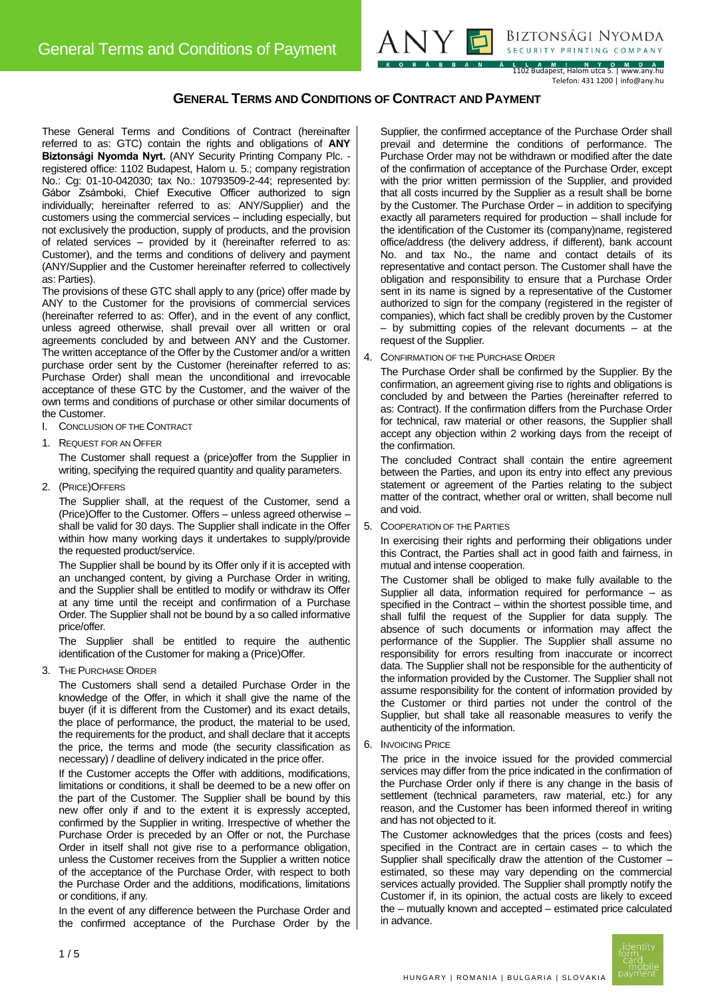

Biztonsági Nyomda SECURITY PRINTING COMPANY

L L A M I N Y O M D A<br>1102 Budapest, Halom utca 5. | www.any.hu Telefon: 431 1200 | info@any.hu

# **GENERAL TERMS AND CONDITIONS OF CONTRACT AND PAYMENT**

These General Terms and Conditions of Contract (hereinafter referred to as: GTC) contain the rights and obligations of **ANY Biztonsági Nyomda Nyrt.** (ANY Security Printing Company Plc. registered office: 1102 Budapest, Halom u. 5.; company registration No.: Cg: 01-10-042030; tax No.: 10793509-2-44; represented by: Gábor Zsámboki, Chief Executive Officer authorized to sign individually; hereinafter referred to as: ANY/Supplier) and the customers using the commercial services – including especially, but not exclusively the production, supply of products, and the provision of related services – provided by it (hereinafter referred to as: Customer), and the terms and conditions of delivery and payment (ANY/Supplier and the Customer hereinafter referred to collectively as: Parties).

The provisions of these GTC shall apply to any (price) offer made by ANY to the Customer for the provisions of commercial services (hereinafter referred to as: Offer), and in the event of any conflict, unless agreed otherwise, shall prevail over all written or oral agreements concluded by and between ANY and the Customer. The written acceptance of the Offer by the Customer and/or a written purchase order sent by the Customer (hereinafter referred to as: Purchase Order) shall mean the unconditional and irrevocable acceptance of these GTC by the Customer, and the waiver of the own terms and conditions of purchase or other similar documents of the Customer.

- I. CONCLUSION OF THE CONTRACT
- 1. REQUEST FOR AN OFFER

The Customer shall request a (price)offer from the Supplier in writing, specifying the required quantity and quality parameters.

2. (PRICE)OFFERS

The Supplier shall, at the request of the Customer, send a (Price)Offer to the Customer. Offers – unless agreed otherwise – shall be valid for 30 days. The Supplier shall indicate in the Offer within how many working days it undertakes to supply/provide the requested product/service.

The Supplier shall be bound by its Offer only if it is accepted with an unchanged content, by giving a Purchase Order in writing, and the Supplier shall be entitled to modify or withdraw its Offer at any time until the receipt and confirmation of a Purchase Order. The Supplier shall not be bound by a so called informative price/offer.

The Supplier shall be entitled to require the authentic identification of the Customer for making a (Price)Offer.

3. THE PURCHASE ORDER

The Customers shall send a detailed Purchase Order in the knowledge of the Offer, in which it shall give the name of the buyer (if it is different from the Customer) and its exact details, the place of performance, the product, the material to be used, the requirements for the product, and shall declare that it accepts the price, the terms and mode (the security classification as necessary) / deadline of delivery indicated in the price offer.

If the Customer accepts the Offer with additions, modifications, limitations or conditions, it shall be deemed to be a new offer on the part of the Customer. The Supplier shall be bound by this new offer only if and to the extent it is expressly accepted, confirmed by the Supplier in writing. Irrespective of whether the Purchase Order is preceded by an Offer or not, the Purchase Order in itself shall not give rise to a performance obligation, unless the Customer receives from the Supplier a written notice of the acceptance of the Purchase Order, with respect to both the Purchase Order and the additions, modifications, limitations or conditions, if any.

In the event of any difference between the Purchase Order and the confirmed acceptance of the Purchase Order by the

Supplier, the confirmed acceptance of the Purchase Order shall prevail and determine the conditions of performance. The Purchase Order may not be withdrawn or modified after the date of the confirmation of acceptance of the Purchase Order, except with the prior written permission of the Supplier, and provided that all costs incurred by the Supplier as a result shall be borne by the Customer. The Purchase Order – in addition to specifying exactly all parameters required for production – shall include for the identification of the Customer its (company)name, registered office/address (the delivery address, if different), bank account No. and tax No., the name and contact details of its representative and contact person. The Customer shall have the obligation and responsibility to ensure that a Purchase Order sent in its name is signed by a representative of the Customer authorized to sign for the company (registered in the register of companies), which fact shall be credibly proven by the Customer – by submitting copies of the relevant documents – at the request of the Supplier.

4. CONFIRMATION OF THE PURCHASE ORDER

The Purchase Order shall be confirmed by the Supplier. By the confirmation, an agreement giving rise to rights and obligations is concluded by and between the Parties (hereinafter referred to as: Contract). If the confirmation differs from the Purchase Order for technical, raw material or other reasons, the Supplier shall accept any objection within 2 working days from the receipt of the confirmation.

The concluded Contract shall contain the entire agreement between the Parties, and upon its entry into effect any previous statement or agreement of the Parties relating to the subject matter of the contract, whether oral or written, shall become null and void.

5. COOPERATION OF THE PARTIES

In exercising their rights and performing their obligations under this Contract, the Parties shall act in good faith and fairness, in mutual and intense cooperation.

The Customer shall be obliged to make fully available to the Supplier all data, information required for performance – as specified in the Contract – within the shortest possible time, and shall fulfil the request of the Supplier for data supply. The absence of such documents or information may affect the performance of the Supplier. The Supplier shall assume no responsibility for errors resulting from inaccurate or incorrect data. The Supplier shall not be responsible for the authenticity of the information provided by the Customer. The Supplier shall not assume responsibility for the content of information provided by the Customer or third parties not under the control of the Supplier, but shall take all reasonable measures to verify the authenticity of the information.

6. INVOICING PRICE

The price in the invoice issued for the provided commercial services may differ from the price indicated in the confirmation of the Purchase Order only if there is any change in the basis of settlement (technical parameters, raw material, etc.) for any reason, and the Customer has been informed thereof in writing and has not objected to it.

The Customer acknowledges that the prices (costs and fees) specified in the Contract are in certain cases – to which the Supplier shall specifically draw the attention of the Customer – estimated, so these may vary depending on the commercial services actually provided. The Supplier shall promptly notify the Customer if, in its opinion, the actual costs are likely to exceed the – mutually known and accepted – estimated price calculated in advance.

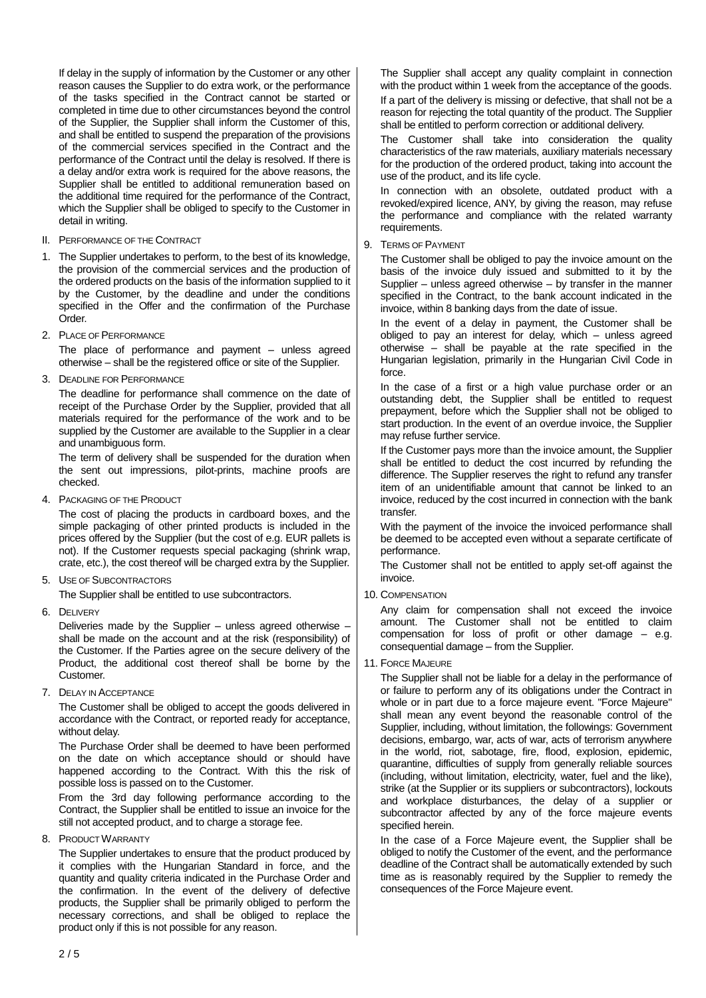If delay in the supply of information by the Customer or any other reason causes the Supplier to do extra work, or the performance of the tasks specified in the Contract cannot be started or completed in time due to other circumstances beyond the control of the Supplier, the Supplier shall inform the Customer of this, and shall be entitled to suspend the preparation of the provisions of the commercial services specified in the Contract and the performance of the Contract until the delay is resolved. If there is a delay and/or extra work is required for the above reasons, the Supplier shall be entitled to additional remuneration based on the additional time required for the performance of the Contract, which the Supplier shall be obliged to specify to the Customer in detail in writing.

II. PERFORMANCE OF THE CONTRACT

1. The Supplier undertakes to perform, to the best of its knowledge, the provision of the commercial services and the production of the ordered products on the basis of the information supplied to it by the Customer, by the deadline and under the conditions specified in the Offer and the confirmation of the Purchase Order.

2. PLACE OF PERFORMANCE

The place of performance and payment – unless agreed otherwise – shall be the registered office or site of the Supplier.

3. DEADLINE FOR PERFORMANCE

The deadline for performance shall commence on the date of receipt of the Purchase Order by the Supplier, provided that all materials required for the performance of the work and to be supplied by the Customer are available to the Supplier in a clear and unambiguous form.

The term of delivery shall be suspended for the duration when the sent out impressions, pilot-prints, machine proofs are checked.

4. PACKAGING OF THE PRODUCT

The cost of placing the products in cardboard boxes, and the simple packaging of other printed products is included in the prices offered by the Supplier (but the cost of e.g. EUR pallets is not). If the Customer requests special packaging (shrink wrap, crate, etc.), the cost thereof will be charged extra by the Supplier.

5. USE OF SUBCONTRACTORS

The Supplier shall be entitled to use subcontractors.

6. DELIVERY

Deliveries made by the Supplier – unless agreed otherwise – shall be made on the account and at the risk (responsibility) of the Customer. If the Parties agree on the secure delivery of the Product, the additional cost thereof shall be borne by the Customer.

7. DELAY IN ACCEPTANCE

The Customer shall be obliged to accept the goods delivered in accordance with the Contract, or reported ready for acceptance, without delay.

The Purchase Order shall be deemed to have been performed on the date on which acceptance should or should have happened according to the Contract. With this the risk of possible loss is passed on to the Customer.

From the 3rd day following performance according to the Contract, the Supplier shall be entitled to issue an invoice for the still not accepted product, and to charge a storage fee.

8. PRODUCT WARRANTY

The Supplier undertakes to ensure that the product produced by it complies with the Hungarian Standard in force, and the quantity and quality criteria indicated in the Purchase Order and the confirmation. In the event of the delivery of defective products, the Supplier shall be primarily obliged to perform the necessary corrections, and shall be obliged to replace the product only if this is not possible for any reason.

The Supplier shall accept any quality complaint in connection with the product within 1 week from the acceptance of the goods. If a part of the delivery is missing or defective, that shall not be a reason for rejecting the total quantity of the product. The Supplier shall be entitled to perform correction or additional delivery.

The Customer shall take into consideration the quality characteristics of the raw materials, auxiliary materials necessary for the production of the ordered product, taking into account the use of the product, and its life cycle.

In connection with an obsolete, outdated product with a revoked/expired licence, ANY, by giving the reason, may refuse the performance and compliance with the related warranty requirements.

9. TERMS OF PAYMENT

The Customer shall be obliged to pay the invoice amount on the basis of the invoice duly issued and submitted to it by the Supplier – unless agreed otherwise – by transfer in the manner specified in the Contract, to the bank account indicated in the invoice, within 8 banking days from the date of issue.

In the event of a delay in payment, the Customer shall be obliged to pay an interest for delay, which – unless agreed otherwise – shall be payable at the rate specified in the Hungarian legislation, primarily in the Hungarian Civil Code in force.

In the case of a first or a high value purchase order or an outstanding debt, the Supplier shall be entitled to request prepayment, before which the Supplier shall not be obliged to start production. In the event of an overdue invoice, the Supplier may refuse further service.

If the Customer pays more than the invoice amount, the Supplier shall be entitled to deduct the cost incurred by refunding the difference. The Supplier reserves the right to refund any transfer item of an unidentifiable amount that cannot be linked to an invoice, reduced by the cost incurred in connection with the bank transfer.

With the payment of the invoice the invoiced performance shall be deemed to be accepted even without a separate certificate of performance.

The Customer shall not be entitled to apply set-off against the invoice.

10. COMPENSATION

Any claim for compensation shall not exceed the invoice amount. The Customer shall not be entitled to claim compensation for loss of profit or other damage – e.g. consequential damage – from the Supplier.

11. FORCE MAJEURE

The Supplier shall not be liable for a delay in the performance of or failure to perform any of its obligations under the Contract in whole or in part due to a force majeure event. "Force Majeure" shall mean any event beyond the reasonable control of the Supplier, including, without limitation, the followings: Government decisions, embargo, war, acts of war, acts of terrorism anywhere in the world, riot, sabotage, fire, flood, explosion, epidemic, quarantine, difficulties of supply from generally reliable sources (including, without limitation, electricity, water, fuel and the like), strike (at the Supplier or its suppliers or subcontractors), lockouts and workplace disturbances, the delay of a supplier or subcontractor affected by any of the force majeure events specified herein.

In the case of a Force Majeure event, the Supplier shall be obliged to notify the Customer of the event, and the performance deadline of the Contract shall be automatically extended by such time as is reasonably required by the Supplier to remedy the consequences of the Force Majeure event.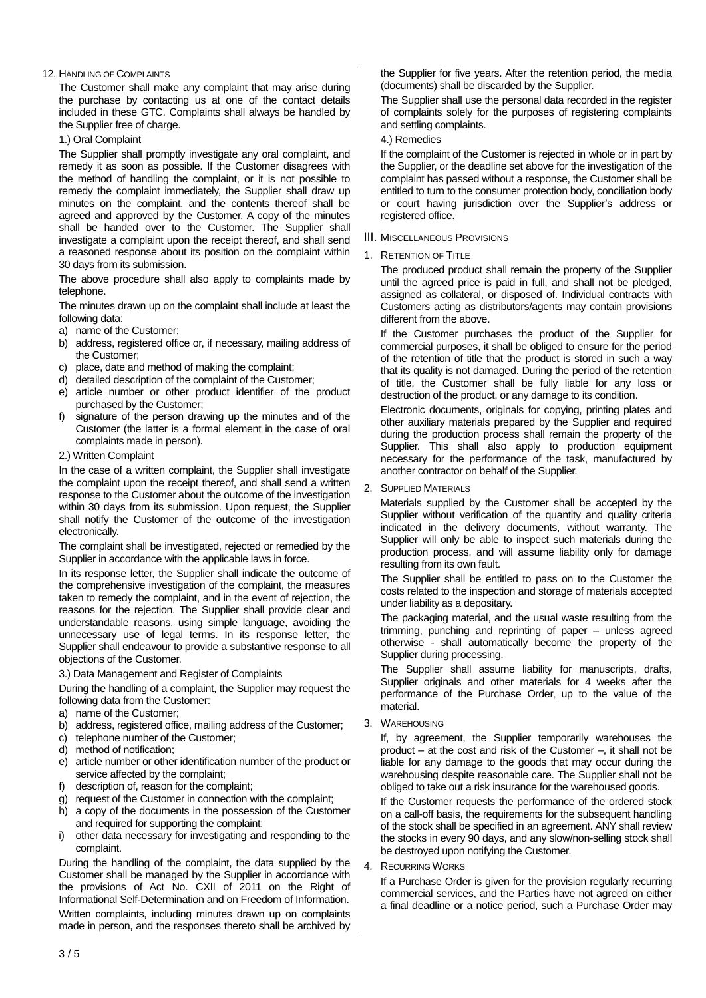## 12. HANDLING OF COMPLAINTS

The Customer shall make any complaint that may arise during the purchase by contacting us at one of the contact details included in these GTC. Complaints shall always be handled by the Supplier free of charge.

1.) Oral Complaint

The Supplier shall promptly investigate any oral complaint, and remedy it as soon as possible. If the Customer disagrees with the method of handling the complaint, or it is not possible to remedy the complaint immediately, the Supplier shall draw up minutes on the complaint, and the contents thereof shall be agreed and approved by the Customer. A copy of the minutes shall be handed over to the Customer. The Supplier shall investigate a complaint upon the receipt thereof, and shall send a reasoned response about its position on the complaint within 30 days from its submission.

The above procedure shall also apply to complaints made by telephone.

The minutes drawn up on the complaint shall include at least the following data:

- a) name of the Customer;
- b) address, registered office or, if necessary, mailing address of the Customer;
- c) place, date and method of making the complaint;
- d) detailed description of the complaint of the Customer;
- e) article number or other product identifier of the product purchased by the Customer;
- f) signature of the person drawing up the minutes and of the Customer (the latter is a formal element in the case of oral complaints made in person).
- 2.) Written Complaint

In the case of a written complaint, the Supplier shall investigate the complaint upon the receipt thereof, and shall send a written response to the Customer about the outcome of the investigation within 30 days from its submission. Upon request, the Supplier shall notify the Customer of the outcome of the investigation electronically.

The complaint shall be investigated, rejected or remedied by the Supplier in accordance with the applicable laws in force.

In its response letter, the Supplier shall indicate the outcome of the comprehensive investigation of the complaint, the measures taken to remedy the complaint, and in the event of rejection, the reasons for the rejection. The Supplier shall provide clear and understandable reasons, using simple language, avoiding the unnecessary use of legal terms. In its response letter, the Supplier shall endeavour to provide a substantive response to all objections of the Customer.

3.) Data Management and Register of Complaints

During the handling of a complaint, the Supplier may request the following data from the Customer:

- a) name of the Customer;
- b) address, registered office, mailing address of the Customer:
- c) telephone number of the Customer;
- d) method of notification;
- e) article number or other identification number of the product or service affected by the complaint;
- f) description of, reason for the complaint;
- g) request of the Customer in connection with the complaint;
- h) a copy of the documents in the possession of the Customer and required for supporting the complaint;
- i) other data necessary for investigating and responding to the complaint.

During the handling of the complaint, the data supplied by the Customer shall be managed by the Supplier in accordance with the provisions of Act No. CXII of 2011 on the Right of Informational Self-Determination and on Freedom of Information.

Written complaints, including minutes drawn up on complaints made in person, and the responses thereto shall be archived by the Supplier for five years. After the retention period, the media (documents) shall be discarded by the Supplier.

The Supplier shall use the personal data recorded in the register of complaints solely for the purposes of registering complaints and settling complaints.

4.) Remedies

If the complaint of the Customer is rejected in whole or in part by the Supplier, or the deadline set above for the investigation of the complaint has passed without a response, the Customer shall be entitled to turn to the consumer protection body, conciliation body or court having jurisdiction over the Supplier's address or registered office.

III. MISCELLANEOUS PROVISIONS

## 1. RETENTION OF TITLE

The produced product shall remain the property of the Supplier until the agreed price is paid in full, and shall not be pledged, assigned as collateral, or disposed of. Individual contracts with Customers acting as distributors/agents may contain provisions different from the above.

If the Customer purchases the product of the Supplier for commercial purposes, it shall be obliged to ensure for the period of the retention of title that the product is stored in such a way that its quality is not damaged. During the period of the retention of title, the Customer shall be fully liable for any loss or destruction of the product, or any damage to its condition.

Electronic documents, originals for copying, printing plates and other auxiliary materials prepared by the Supplier and required during the production process shall remain the property of the Supplier. This shall also apply to production equipment necessary for the performance of the task, manufactured by another contractor on behalf of the Supplier.

## 2. SUPPLIED MATERIALS

Materials supplied by the Customer shall be accepted by the Supplier without verification of the quantity and quality criteria indicated in the delivery documents, without warranty. The Supplier will only be able to inspect such materials during the production process, and will assume liability only for damage resulting from its own fault.

The Supplier shall be entitled to pass on to the Customer the costs related to the inspection and storage of materials accepted under liability as a depositary.

The packaging material, and the usual waste resulting from the trimming, punching and reprinting of paper – unless agreed otherwise - shall automatically become the property of the Supplier during processing.

The Supplier shall assume liability for manuscripts, drafts, Supplier originals and other materials for 4 weeks after the performance of the Purchase Order, up to the value of the material.

3. WAREHOUSING

If, by agreement, the Supplier temporarily warehouses the product – at the cost and risk of the Customer –, it shall not be liable for any damage to the goods that may occur during the warehousing despite reasonable care. The Supplier shall not be obliged to take out a risk insurance for the warehoused goods.

If the Customer requests the performance of the ordered stock on a call-off basis, the requirements for the subsequent handling of the stock shall be specified in an agreement. ANY shall review the stocks in every 90 days, and any slow/non-selling stock shall be destroyed upon notifying the Customer.

4. RECURRING WORKS

If a Purchase Order is given for the provision regularly recurring commercial services, and the Parties have not agreed on either a final deadline or a notice period, such a Purchase Order may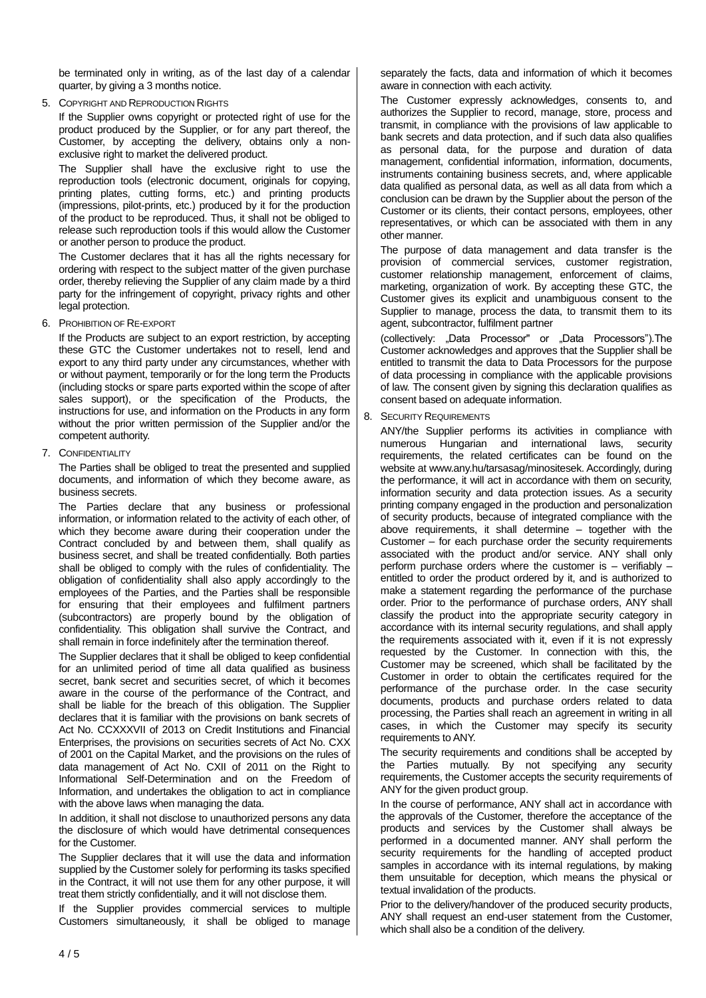be terminated only in writing, as of the last day of a calendar quarter, by giving a 3 months notice.

5. COPYRIGHT AND REPRODUCTION RIGHTS

If the Supplier owns copyright or protected right of use for the product produced by the Supplier, or for any part thereof, the Customer, by accepting the delivery, obtains only a nonexclusive right to market the delivered product.

The Supplier shall have the exclusive right to use the reproduction tools (electronic document, originals for copying, printing plates, cutting forms, etc.) and printing products (impressions, pilot-prints, etc.) produced by it for the production of the product to be reproduced. Thus, it shall not be obliged to release such reproduction tools if this would allow the Customer or another person to produce the product.

The Customer declares that it has all the rights necessary for ordering with respect to the subject matter of the given purchase order, thereby relieving the Supplier of any claim made by a third party for the infringement of copyright, privacy rights and other legal protection.

6. PROHIBITION OF RE-EXPORT

If the Products are subject to an export restriction, by accepting these GTC the Customer undertakes not to resell, lend and export to any third party under any circumstances, whether with or without payment, temporarily or for the long term the Products (including stocks or spare parts exported within the scope of after sales support), or the specification of the Products, the instructions for use, and information on the Products in any form without the prior written permission of the Supplier and/or the competent authority.

7. CONFIDENTIALITY

The Parties shall be obliged to treat the presented and supplied documents, and information of which they become aware, as business secrets.

The Parties declare that any business or professional information, or information related to the activity of each other, of which they become aware during their cooperation under the Contract concluded by and between them, shall qualify as business secret, and shall be treated confidentially. Both parties shall be obliged to comply with the rules of confidentiality. The obligation of confidentiality shall also apply accordingly to the employees of the Parties, and the Parties shall be responsible for ensuring that their employees and fulfilment partners (subcontractors) are properly bound by the obligation of confidentiality. This obligation shall survive the Contract, and shall remain in force indefinitely after the termination thereof.

The Supplier declares that it shall be obliged to keep confidential for an unlimited period of time all data qualified as business secret, bank secret and securities secret, of which it becomes aware in the course of the performance of the Contract, and shall be liable for the breach of this obligation. The Supplier declares that it is familiar with the provisions on bank secrets of Act No. CCXXXVII of 2013 on Credit Institutions and Financial Enterprises, the provisions on securities secrets of Act No. CXX of 2001 on the Capital Market, and the provisions on the rules of data management of Act No. CXII of 2011 on the Right to Informational Self-Determination and on the Freedom of Information, and undertakes the obligation to act in compliance with the above laws when managing the data.

In addition, it shall not disclose to unauthorized persons any data the disclosure of which would have detrimental consequences for the Customer.

The Supplier declares that it will use the data and information supplied by the Customer solely for performing its tasks specified in the Contract, it will not use them for any other purpose, it will treat them strictly confidentially, and it will not disclose them.

If the Supplier provides commercial services to multiple Customers simultaneously, it shall be obliged to manage

separately the facts, data and information of which it becomes aware in connection with each activity.

The Customer expressly acknowledges, consents to, and authorizes the Supplier to record, manage, store, process and transmit, in compliance with the provisions of law applicable to bank secrets and data protection, and if such data also qualifies as personal data, for the purpose and duration of data management, confidential information, information, documents, instruments containing business secrets, and, where applicable data qualified as personal data, as well as all data from which a conclusion can be drawn by the Supplier about the person of the Customer or its clients, their contact persons, employees, other representatives, or which can be associated with them in any other manner.

The purpose of data management and data transfer is the provision of commercial services, customer registration, customer relationship management, enforcement of claims, marketing, organization of work. By accepting these GTC, the Customer gives its explicit and unambiguous consent to the Supplier to manage, process the data, to transmit them to its agent, subcontractor, fulfilment partner

(collectively: "Data Processor" or "Data Processors").The Customer acknowledges and approves that the Supplier shall be entitled to transmit the data to Data Processors for the purpose of data processing in compliance with the applicable provisions of law. The consent given by signing this declaration qualifies as consent based on adequate information.

8. SECURITY REQUIREMENTS

ANY/the Supplier performs its activities in compliance with numerous Hungarian and international laws, security requirements, the related certificates can be found on the website at www.any.hu/tarsasag/minositesek. Accordingly, during the performance, it will act in accordance with them on security, information security and data protection issues. As a security printing company engaged in the production and personalization of security products, because of integrated compliance with the above requirements, it shall determine – together with the Customer – for each purchase order the security requirements associated with the product and/or service. ANY shall only perform purchase orders where the customer is – verifiably – entitled to order the product ordered by it, and is authorized to make a statement regarding the performance of the purchase order. Prior to the performance of purchase orders, ANY shall classify the product into the appropriate security category in accordance with its internal security regulations, and shall apply the requirements associated with it, even if it is not expressly requested by the Customer. In connection with this, the Customer may be screened, which shall be facilitated by the Customer in order to obtain the certificates required for the performance of the purchase order. In the case security documents, products and purchase orders related to data processing, the Parties shall reach an agreement in writing in all cases, in which the Customer may specify its security requirements to ANY.

The security requirements and conditions shall be accepted by the Parties mutually. By not specifying any security requirements, the Customer accepts the security requirements of ANY for the given product group.

In the course of performance, ANY shall act in accordance with the approvals of the Customer, therefore the acceptance of the products and services by the Customer shall always be performed in a documented manner. ANY shall perform the security requirements for the handling of accepted product samples in accordance with its internal regulations, by making them unsuitable for deception, which means the physical or textual invalidation of the products.

Prior to the delivery/handover of the produced security products, ANY shall request an end-user statement from the Customer, which shall also be a condition of the delivery.